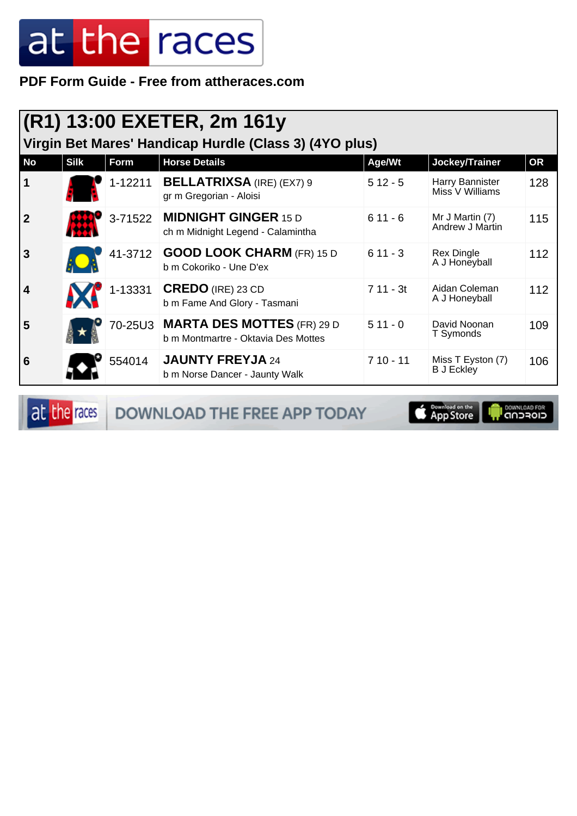**PDF Form Guide - Free from attheraces.com**

| (R1) 13:00 EXETER, 2m 161y<br>Virgin Bet Mares' Handicap Hurdle (Class 3) (4YO plus) |             |         |                                                                           |            |                                        |           |
|--------------------------------------------------------------------------------------|-------------|---------|---------------------------------------------------------------------------|------------|----------------------------------------|-----------|
| <b>No</b>                                                                            | <b>Silk</b> | Form    | <b>Horse Details</b>                                                      | Age/Wt     | Jockey/Trainer                         | <b>OR</b> |
| $\mathbf 1$                                                                          |             |         | 1-12211   BELLATRIXSA (IRE) (EX7) 9<br>gr m Gregorian - Aloisi            | $512 - 5$  | Harry Bannister<br>Miss V Williams     | 128       |
| $\overline{2}$                                                                       |             | 3-71522 | <b>MIDNIGHT GINGER 15 D</b><br>ch m Midnight Legend - Calamintha          | $611 - 6$  | Mr J Martin (7)<br>Andrew J Martin     | 115       |
| $\overline{3}$                                                                       |             |         | 41-3712 GOOD LOOK CHARM (FR) 15 D<br>b m Cokoriko - Une D'ex              | $611 - 3$  | <b>Rex Dingle</b><br>A J Honeyball     | 112       |
| 4                                                                                    |             | 1-13331 | CREDO (IRE) 23 CD<br>b m Fame And Glory - Tasmani                         | $711 - 3t$ | Aidan Coleman<br>A J Honeyball         | 112       |
| 5                                                                                    |             |         | 70-25U3 MARTA DES MOTTES (FR) 29 D<br>b m Montmartre - Oktavia Des Mottes | $511 - 0$  | David Noonan<br>T Symonds              | 109       |
| $6\phantom{1}6$                                                                      |             | 554014  | <b>JAUNTY FREYJA 24</b><br>b m Norse Dancer - Jaunty Walk                 | $710 - 11$ | Miss T Eyston (7)<br><b>B</b> J Eckley | 106       |

at the races DOWNLOAD THE FREE APP TODAY

App Store **I** DOWNLOAD FOR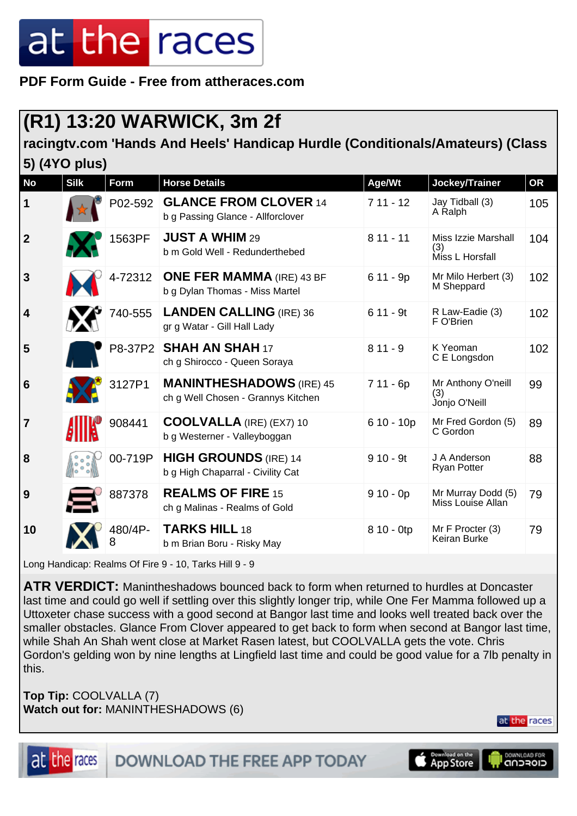**PDF Form Guide - Free from attheraces.com**

### **(R1) 13:20 WARWICK, 3m 2f**

#### **racingtv.com 'Hands And Heels' Handicap Hurdle (Conditionals/Amateurs) (Class 5) (4YO plus)**

| <b>No</b>      | <b>Silk</b>                                  | <b>Form</b> | <b>Horse Details</b>                                                  | Age/Wt      | Jockey/Trainer                                | <b>OR</b> |
|----------------|----------------------------------------------|-------------|-----------------------------------------------------------------------|-------------|-----------------------------------------------|-----------|
| 1              |                                              | P02-592     | <b>GLANCE FROM CLOVER 14</b><br>b g Passing Glance - Allforclover     | $711 - 12$  | Jay Tidball (3)<br>A Ralph                    | 105       |
| $\mathbf{2}$   |                                              | 1563PF      | <b>JUST A WHIM 29</b><br>b m Gold Well - Redunderthebed               | $811 - 11$  | Miss Izzie Marshall<br>(3)<br>Miss L Horsfall | 104       |
| 3              |                                              | 4-72312     | <b>ONE FER MAMMA (IRE) 43 BF</b><br>b g Dylan Thomas - Miss Martel    | $611 - 9p$  | Mr Milo Herbert (3)<br>M Sheppard             | 102       |
| 4              |                                              | 740-555     | <b>LANDEN CALLING (IRE) 36</b><br>gr g Watar - Gill Hall Lady         | $611 - 9t$  | R Law-Eadie (3)<br>F O'Brien                  | 102       |
| 5              |                                              |             | P8-37P2   SHAH AN SHAH 17<br>ch g Shirocco - Queen Soraya             | $811 - 9$   | K Yeoman<br>C E Longsdon                      | 102       |
| 6              |                                              | 3127P1      | <b>MANINTHESHADOWS</b> (IRE) 45<br>ch g Well Chosen - Grannys Kitchen | 7 11 - 6p   | Mr Anthony O'neill<br>(3)<br>Jonjo O'Neill    | 99        |
| $\overline{7}$ |                                              | 908441      | <b>COOLVALLA</b> (IRE) (EX7) 10<br>b g Westerner - Valleyboggan       | $610 - 10p$ | Mr Fred Gordon (5)<br>C Gordon                | 89        |
| 8              | $\widetilde{\mathfrak{o}}^{\, \mathfrak{o}}$ | 00-719P     | <b>HIGH GROUNDS</b> (IRE) 14<br>b g High Chaparral - Civility Cat     | $910 - 9t$  | J A Anderson<br><b>Ryan Potter</b>            | 88        |
| 9              |                                              | 887378      | <b>REALMS OF FIRE 15</b><br>ch g Malinas - Realms of Gold             | $910 - 0p$  | Mr Murray Dodd (5)<br>Miss Louise Allan       | 79        |
| 10             |                                              | 480/4P-     | <b>TARKS HILL 18</b><br>b m Brian Boru - Risky May                    | 8 10 - 0tp  | Mr F Procter (3)<br>Keiran Burke              | 79        |

Long Handicap: Realms Of Fire 9 - 10, Tarks Hill 9 - 9

**ATR VERDICT:** Manintheshadows bounced back to form when returned to hurdles at Doncaster last time and could go well if settling over this slightly longer trip, while One Fer Mamma followed up a Uttoxeter chase success with a good second at Bangor last time and looks well treated back over the smaller obstacles. Glance From Clover appeared to get back to form when second at Bangor last time, while Shah An Shah went close at Market Rasen latest, but COOLVALLA gets the vote. Chris Gordon's gelding won by nine lengths at Lingfield last time and could be good value for a 7lb penalty in this.

**Top Tip:** COOLVALLA (7) **Watch out for:** MANINTHESHADOWS (6)

at the races



**App Store** 

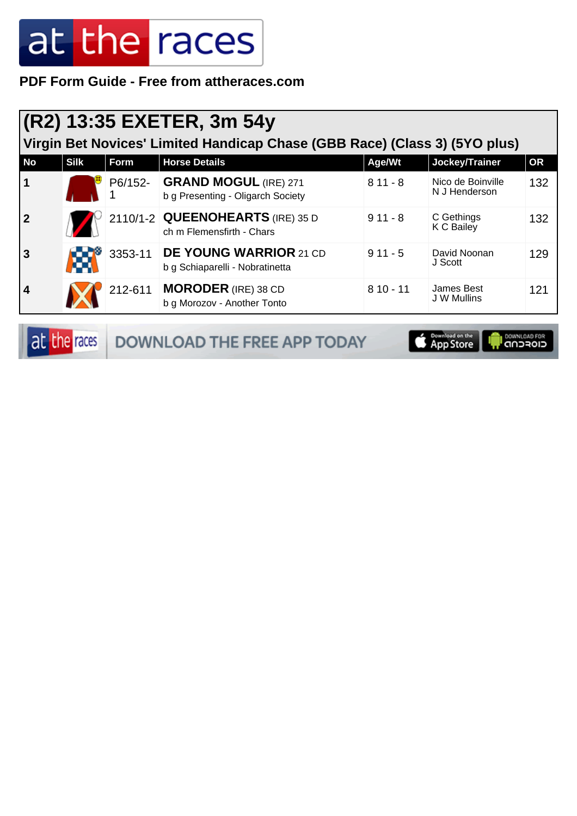**PDF Form Guide - Free from attheraces.com**

| (R2) 13:35 EXETER, 3m 54y<br>Virgin Bet Novices' Limited Handicap Chase (GBB Race) (Class 3) (5YO plus) |             |         |                                                                    |            |                                    |           |
|---------------------------------------------------------------------------------------------------------|-------------|---------|--------------------------------------------------------------------|------------|------------------------------------|-----------|
| <b>No</b>                                                                                               | <b>Silk</b> | Form    | <b>Horse Details</b>                                               | Age/Wt     | Jockey/Trainer                     | <b>OR</b> |
| $\mathbf 1$                                                                                             |             |         | P6/152- GRAND MOGUL (IRE) 271<br>b g Presenting - Oligarch Society | $811 - 8$  | Nico de Boinville<br>N J Henderson | 132       |
| $\overline{2}$                                                                                          |             |         | 2110/1-2 QUEENOHEARTS (IRE) 35 D<br>ch m Flemensfirth - Chars      | $911 - 8$  | C Gethings<br>K C Bailey           | 132       |
| $\overline{3}$                                                                                          |             | 3353-11 | <b>DE YOUNG WARRIOR 21 CD</b><br>b g Schiaparelli - Nobratinetta   | $911 - 5$  | David Noonan<br>J Scott            | 129       |
| $\overline{\mathbf{4}}$                                                                                 |             | 212-611 | <b>MORODER</b> (IRE) 38 CD<br>b g Morozov - Another Tonto          | $810 - 11$ | James Best<br><b>J W Mullins</b>   | 121       |

|  | at the races DOWNLOAD THE FREE APP TODAY | App Store <b>Product</b> CONNUGAD FOR |  |
|--|------------------------------------------|---------------------------------------|--|
|--|------------------------------------------|---------------------------------------|--|